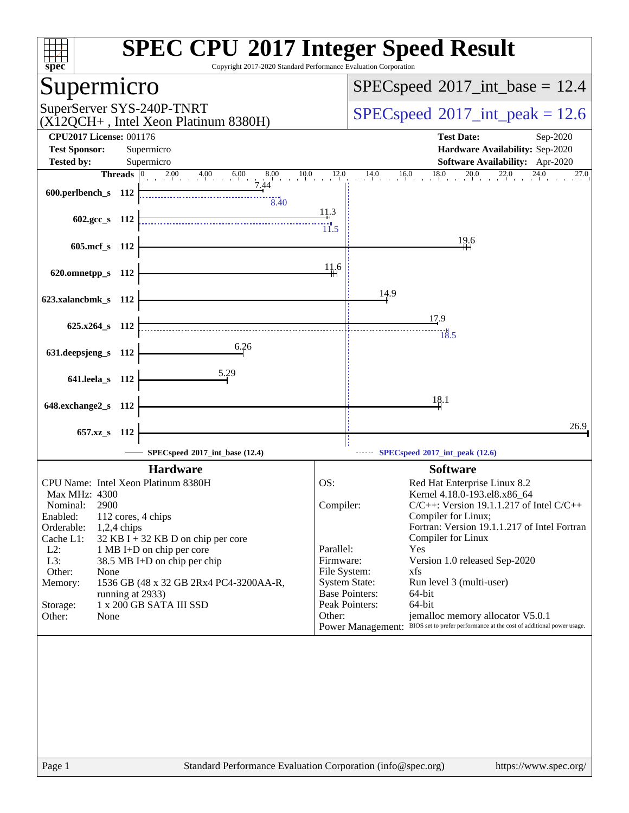| spec®                                                                | <b>SPEC CPU®2017 Integer Speed Result</b><br>Copyright 2017-2020 Standard Performance Evaluation Corporation                          |
|----------------------------------------------------------------------|---------------------------------------------------------------------------------------------------------------------------------------|
| Supermicro                                                           | $SPEC speed^{\circ}2017\_int\_base = 12.4$                                                                                            |
| SuperServer SYS-240P-TNRT<br>$(X12QCH+$ , Intel Xeon Platinum 8380H) | $SPEC speed^{\circ}2017\_int\_peak = 12.6$                                                                                            |
| <b>CPU2017 License: 001176</b>                                       | <b>Test Date:</b><br>Sep-2020                                                                                                         |
| <b>Test Sponsor:</b><br>Supermicro                                   | Hardware Availability: Sep-2020                                                                                                       |
| <b>Tested by:</b><br>Supermicro                                      | <b>Software Availability:</b> Apr-2020                                                                                                |
| $2.00 \t 4.00 \t 6.00$<br>Threads $ 0\rangle$<br>$8.00$ 10.<br>7.44  | 10.0<br>$\frac{14.0}{1}$<br>$16.0$ $18.0$<br>20.0<br>12.0<br>22.0<br>27.0                                                             |
| 600.perlbench_s 112                                                  |                                                                                                                                       |
| $\frac{1}{8.40}$                                                     | 11,3                                                                                                                                  |
| 602.gcc_s 112                                                        | 11.5                                                                                                                                  |
|                                                                      | 19.6                                                                                                                                  |
| 605.mcf_s 112                                                        |                                                                                                                                       |
|                                                                      | 11.6                                                                                                                                  |
| 620.omnetpp_s 112                                                    |                                                                                                                                       |
| 623.xalancbmk_s 112                                                  | 14.9                                                                                                                                  |
|                                                                      |                                                                                                                                       |
| $625.x264$ s 112                                                     | 17.9                                                                                                                                  |
|                                                                      | 18.5                                                                                                                                  |
| 6.26<br>631.deepsjeng_s 112                                          |                                                                                                                                       |
|                                                                      |                                                                                                                                       |
| <u>5.29</u><br>641.leela_s 112                                       |                                                                                                                                       |
|                                                                      |                                                                                                                                       |
| 648.exchange2_s 112                                                  | 18.1                                                                                                                                  |
|                                                                      | 26.9                                                                                                                                  |
| 657.xz_s<br>- 112                                                    |                                                                                                                                       |
| SPECspeed®2017_int_base (12.4)                                       | $SPECspeed*2017$ _int_peak $(12.6)$                                                                                                   |
| <b>Hardware</b>                                                      | <b>Software</b>                                                                                                                       |
| CPU Name: Intel Xeon Platinum 8380H                                  | OS:<br>Red Hat Enterprise Linux 8.2                                                                                                   |
| Max MHz: 4300                                                        | Kernel 4.18.0-193.el8.x86_64                                                                                                          |
| Nominal:<br>2900                                                     | $C/C++$ : Version 19.1.1.217 of Intel $C/C++$<br>Compiler:                                                                            |
| Enabled:<br>112 cores, 4 chips<br>Orderable:<br>$1,2,4$ chips        | Compiler for Linux;<br>Fortran: Version 19.1.1.217 of Intel Fortran                                                                   |
| Cache L1:<br>$32$ KB I + 32 KB D on chip per core                    | Compiler for Linux                                                                                                                    |
| $L2$ :<br>1 MB I+D on chip per core                                  | Parallel:<br>Yes                                                                                                                      |
| L3:<br>38.5 MB I+D on chip per chip                                  | Firmware:<br>Version 1.0 released Sep-2020                                                                                            |
| Other:<br>None<br>1536 GB (48 x 32 GB 2Rx4 PC4-3200AA-R,<br>Memory:  | File System:<br>xfs<br><b>System State:</b><br>Run level 3 (multi-user)                                                               |
| running at 2933)                                                     | <b>Base Pointers:</b><br>64-bit                                                                                                       |
| 1 x 200 GB SATA III SSD<br>Storage:                                  | Peak Pointers:<br>64-bit                                                                                                              |
| Other:<br>None                                                       | Other:<br>jemalloc memory allocator V5.0.1<br>Power Management: BIOS set to prefer performance at the cost of additional power usage. |
|                                                                      |                                                                                                                                       |
|                                                                      |                                                                                                                                       |
|                                                                      |                                                                                                                                       |
|                                                                      |                                                                                                                                       |
|                                                                      |                                                                                                                                       |
|                                                                      |                                                                                                                                       |
|                                                                      |                                                                                                                                       |
|                                                                      |                                                                                                                                       |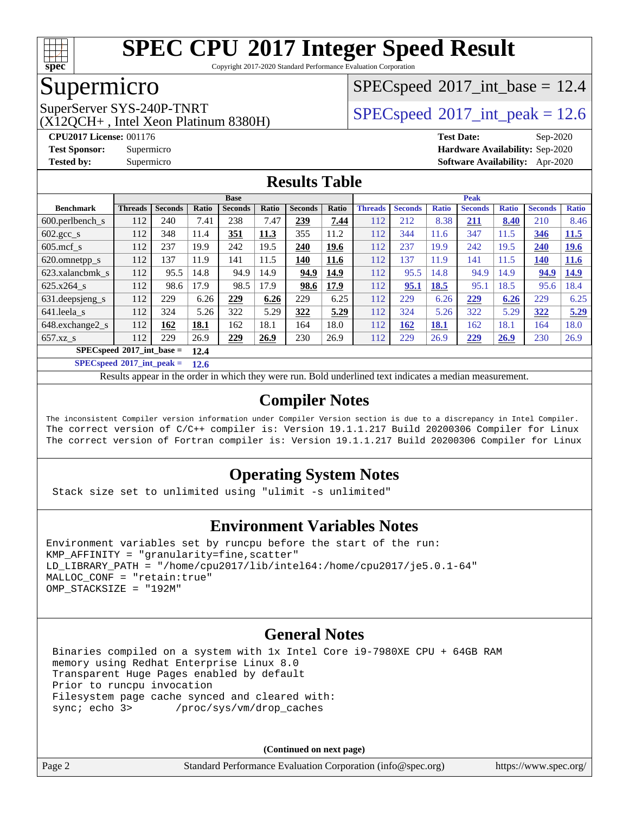

Copyright 2017-2020 Standard Performance Evaluation Corporation

### Supermicro

(X12QCH+ , Intel Xeon Platinum 8380H)

 $SPECspeed^{\circ}2017\_int\_base = 12.4$  $SPECspeed^{\circ}2017\_int\_base = 12.4$ 

SuperServer SYS-240P-TNRT  $SPI200U + 1$  [SPECspeed](http://www.spec.org/auto/cpu2017/Docs/result-fields.html#SPECspeed2017intpeak)®[2017\\_int\\_peak = 1](http://www.spec.org/auto/cpu2017/Docs/result-fields.html#SPECspeed2017intpeak)2.6

**[CPU2017 License:](http://www.spec.org/auto/cpu2017/Docs/result-fields.html#CPU2017License)** 001176 **[Test Date:](http://www.spec.org/auto/cpu2017/Docs/result-fields.html#TestDate)** Sep-2020 **[Test Sponsor:](http://www.spec.org/auto/cpu2017/Docs/result-fields.html#TestSponsor)** Supermicro **[Hardware Availability:](http://www.spec.org/auto/cpu2017/Docs/result-fields.html#HardwareAvailability)** Sep-2020 **[Tested by:](http://www.spec.org/auto/cpu2017/Docs/result-fields.html#Testedby)** Supermicro **[Software Availability:](http://www.spec.org/auto/cpu2017/Docs/result-fields.html#SoftwareAvailability)** Apr-2020

#### **[Results Table](http://www.spec.org/auto/cpu2017/Docs/result-fields.html#ResultsTable)**

|                                       | <b>Base</b>    |                |       |                |       | <b>Peak</b>    |       |                |                |              |                |              |                |              |
|---------------------------------------|----------------|----------------|-------|----------------|-------|----------------|-------|----------------|----------------|--------------|----------------|--------------|----------------|--------------|
| <b>Benchmark</b>                      | <b>Threads</b> | <b>Seconds</b> | Ratio | <b>Seconds</b> | Ratio | <b>Seconds</b> | Ratio | <b>Threads</b> | <b>Seconds</b> | <b>Ratio</b> | <b>Seconds</b> | <b>Ratio</b> | <b>Seconds</b> | <b>Ratio</b> |
| 600.perlbench s                       | 112            | 240            | 7.41  | 238            | 7.47  | 239            | 7.44  | 112            | 212            | 8.38         | 211            | 8.40         | 210            | 8.46         |
| $602 \text{.} \text{gcc}\text{.}$ s   | 112            | 348            | 11.4  | 351            | 11.3  | 355            | 11.2  | 112            | 344            | 11.6         | 347            | 11.5         | 346            | 11.5         |
| $605$ .mcf s                          | 112            | 237            | 19.9  | 242            | 19.5  | 240            | 19.6  | 112            | 237            | 19.9         | 242            | 19.5         | 240            | <u>19.6</u>  |
| 620.omnetpp_s                         | 112            | 137            | 11.9  | 141            | 11.5  | 140            | 11.6  | 112            | 137            | 11.9         | 141            | 11.5         | <u>140</u>     | <b>11.6</b>  |
| 623.xalancbmk s                       | 112            | 95.5           | 14.8  | 94.9           | 14.9  | 94.9           | 14.9  | 112            | 95.5           | 14.8         | 94.9           | 14.9         | 94.9           | <u>14.9</u>  |
| 625.x264 s                            | 112            | 98.6           | 17.9  | 98.5           | 17.9  | 98.6           | 17.9  | 112            | 95.1           | 18.5         | 95.1           | 18.5         | 95.6           | 18.4         |
| 631.deepsjeng_s                       | 112            | 229            | 6.26  | 229            | 6.26  | 229            | 6.25  | 112            | 229            | 6.26         | 229            | 6.26         | 229            | 6.25         |
| 641.leela s                           | 112            | 324            | 5.26  | 322            | 5.29  | 322            | 5.29  | 112            | 324            | 5.26         | 322            | 5.29         | 322            | 5.29         |
| 648.exchange2_s                       | 112            | 162            | 18.1  | 162            | 18.1  | 164            | 18.0  | 112            | 162            | <b>18.1</b>  | 162            | 18.1         | 164            | 18.0         |
| $657.xz$ <sub>S</sub>                 | 112            | 229            | 26.9  | 229            | 26.9  | 230            | 26.9  | 112            | 229            | 26.9         | 229            | 26.9         | 230            | 26.9         |
| $SPECspeed*2017\_int\_base =$<br>12.4 |                |                |       |                |       |                |       |                |                |              |                |              |                |              |

**[SPECspeed](http://www.spec.org/auto/cpu2017/Docs/result-fields.html#SPECspeed2017intpeak)[2017\\_int\\_peak =](http://www.spec.org/auto/cpu2017/Docs/result-fields.html#SPECspeed2017intpeak) 12.6**

Results appear in the [order in which they were run.](http://www.spec.org/auto/cpu2017/Docs/result-fields.html#RunOrder) Bold underlined text [indicates a median measurement](http://www.spec.org/auto/cpu2017/Docs/result-fields.html#Median).

#### **[Compiler Notes](http://www.spec.org/auto/cpu2017/Docs/result-fields.html#CompilerNotes)**

The inconsistent Compiler version information under Compiler Version section is due to a discrepancy in Intel Compiler. The correct version of C/C++ compiler is: Version 19.1.1.217 Build 20200306 Compiler for Linux The correct version of Fortran compiler is: Version 19.1.1.217 Build 20200306 Compiler for Linux

#### **[Operating System Notes](http://www.spec.org/auto/cpu2017/Docs/result-fields.html#OperatingSystemNotes)**

Stack size set to unlimited using "ulimit -s unlimited"

#### **[Environment Variables Notes](http://www.spec.org/auto/cpu2017/Docs/result-fields.html#EnvironmentVariablesNotes)**

```
Environment variables set by runcpu before the start of the run:
KMP AFFINITY = "granularity=fine, scatter"
LD_LIBRARY_PATH = "/home/cpu2017/lib/intel64:/home/cpu2017/je5.0.1-64"
MALLOC_CONF = "retain:true"
OMP_STACKSIZE = "192M"
```
#### **[General Notes](http://www.spec.org/auto/cpu2017/Docs/result-fields.html#GeneralNotes)**

 Binaries compiled on a system with 1x Intel Core i9-7980XE CPU + 64GB RAM memory using Redhat Enterprise Linux 8.0 Transparent Huge Pages enabled by default Prior to runcpu invocation Filesystem page cache synced and cleared with:<br>sync: echo 3> /proc/sys/vm/drop\_caches /proc/sys/vm/drop\_caches

**(Continued on next page)**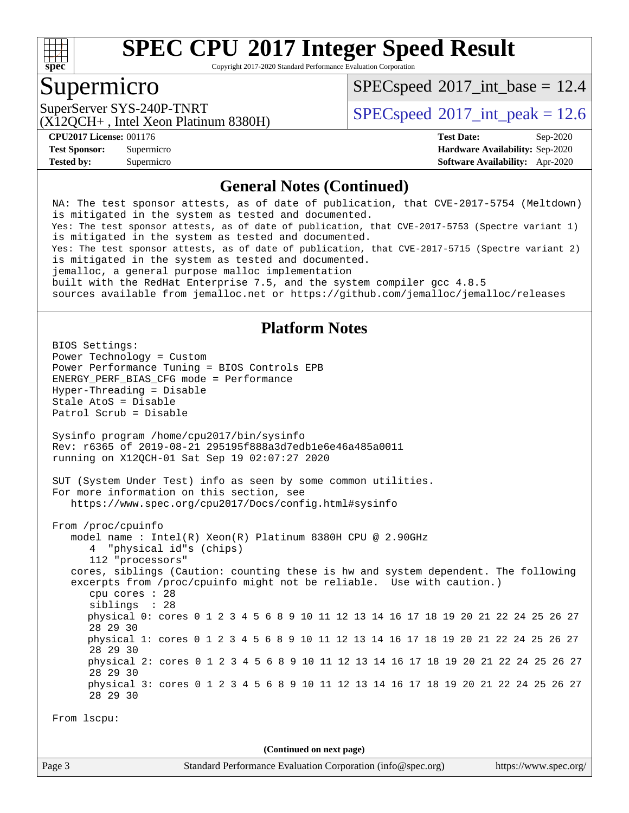

Copyright 2017-2020 Standard Performance Evaluation Corporation

#### Supermicro

 $SPECspeed^{\circ}2017\_int\_base = 12.4$  $SPECspeed^{\circ}2017\_int\_base = 12.4$ 

(X12QCH+ , Intel Xeon Platinum 8380H)

SuperServer SYS-240P-TNRT  $\vert$  [SPECspeed](http://www.spec.org/auto/cpu2017/Docs/result-fields.html#SPECspeed2017intpeak)®[2017\\_int\\_peak = 1](http://www.spec.org/auto/cpu2017/Docs/result-fields.html#SPECspeed2017intpeak)2.6

**[Tested by:](http://www.spec.org/auto/cpu2017/Docs/result-fields.html#Testedby)** Supermicro **[Software Availability:](http://www.spec.org/auto/cpu2017/Docs/result-fields.html#SoftwareAvailability)** Apr-2020

**[CPU2017 License:](http://www.spec.org/auto/cpu2017/Docs/result-fields.html#CPU2017License)** 001176 **[Test Date:](http://www.spec.org/auto/cpu2017/Docs/result-fields.html#TestDate)** Sep-2020 **[Test Sponsor:](http://www.spec.org/auto/cpu2017/Docs/result-fields.html#TestSponsor)** Supermicro **[Hardware Availability:](http://www.spec.org/auto/cpu2017/Docs/result-fields.html#HardwareAvailability)** Sep-2020

#### **[General Notes \(Continued\)](http://www.spec.org/auto/cpu2017/Docs/result-fields.html#GeneralNotes)**

 NA: The test sponsor attests, as of date of publication, that CVE-2017-5754 (Meltdown) is mitigated in the system as tested and documented. Yes: The test sponsor attests, as of date of publication, that CVE-2017-5753 (Spectre variant 1) is mitigated in the system as tested and documented. Yes: The test sponsor attests, as of date of publication, that CVE-2017-5715 (Spectre variant 2) is mitigated in the system as tested and documented. jemalloc, a general purpose malloc implementation built with the RedHat Enterprise 7.5, and the system compiler gcc 4.8.5 sources available from jemalloc.net or<https://github.com/jemalloc/jemalloc/releases> **[Platform Notes](http://www.spec.org/auto/cpu2017/Docs/result-fields.html#PlatformNotes)** BIOS Settings: Power Technology = Custom Power Performance Tuning = BIOS Controls EPB ENERGY\_PERF\_BIAS\_CFG mode = Performance Hyper-Threading = Disable Stale AtoS = Disable Patrol Scrub = Disable Sysinfo program /home/cpu2017/bin/sysinfo Rev: r6365 of 2019-08-21 295195f888a3d7edb1e6e46a485a0011 running on X12QCH-01 Sat Sep 19 02:07:27 2020 SUT (System Under Test) info as seen by some common utilities. For more information on this section, see <https://www.spec.org/cpu2017/Docs/config.html#sysinfo> From /proc/cpuinfo model name : Intel(R) Xeon(R) Platinum 8380H CPU @ 2.90GHz 4 "physical id"s (chips) 112 "processors" cores, siblings (Caution: counting these is hw and system dependent. The following excerpts from /proc/cpuinfo might not be reliable. Use with caution.) cpu cores : 28 siblings : 28 physical 0: cores 0 1 2 3 4 5 6 8 9 10 11 12 13 14 16 17 18 19 20 21 22 24 25 26 27 28 29 30 physical 1: cores 0 1 2 3 4 5 6 8 9 10 11 12 13 14 16 17 18 19 20 21 22 24 25 26 27 28 29 30 physical 2: cores 0 1 2 3 4 5 6 8 9 10 11 12 13 14 16 17 18 19 20 21 22 24 25 26 27 28 29 30 physical 3: cores 0 1 2 3 4 5 6 8 9 10 11 12 13 14 16 17 18 19 20 21 22 24 25 26 27 28 29 30 From lscpu: **(Continued on next page)**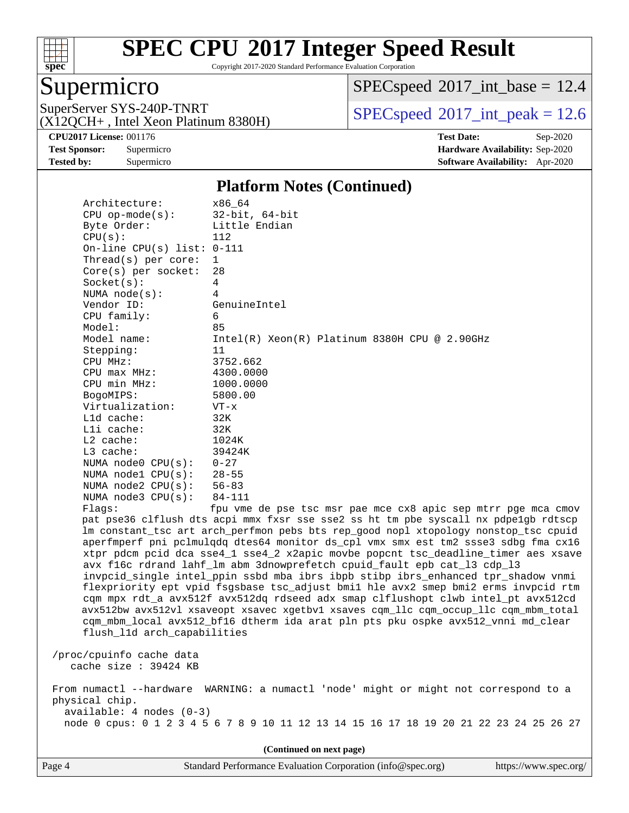

Copyright 2017-2020 Standard Performance Evaluation Corporation

### Supermicro

 $SPEC speed$ <sup>®</sup> $2017$ \_int\_base = 12.4

(X12QCH+ , Intel Xeon Platinum 8380H)

SuperServer SYS-240P-TNRT  $SPI20CH_{\perp}$  Jatel Yoga Platinum 8380H)  $SPECspeed^{\circ}2017\_int\_peak = 12.6$  $SPECspeed^{\circ}2017\_int\_peak = 12.6$ 

**[Tested by:](http://www.spec.org/auto/cpu2017/Docs/result-fields.html#Testedby)** Supermicro **[Software Availability:](http://www.spec.org/auto/cpu2017/Docs/result-fields.html#SoftwareAvailability)** Apr-2020

**[CPU2017 License:](http://www.spec.org/auto/cpu2017/Docs/result-fields.html#CPU2017License)** 001176 **[Test Date:](http://www.spec.org/auto/cpu2017/Docs/result-fields.html#TestDate)** Sep-2020 **[Test Sponsor:](http://www.spec.org/auto/cpu2017/Docs/result-fields.html#TestSponsor)** Supermicro **[Hardware Availability:](http://www.spec.org/auto/cpu2017/Docs/result-fields.html#HardwareAvailability)** Sep-2020

#### **[Platform Notes \(Continued\)](http://www.spec.org/auto/cpu2017/Docs/result-fields.html#PlatformNotes)**

| Architecture:<br>$CPU$ op-mode( $s$ ): | x86_64<br>$32$ -bit, $64$ -bit                                                                                                                              |
|----------------------------------------|-------------------------------------------------------------------------------------------------------------------------------------------------------------|
| Byte Order:                            | Little Endian                                                                                                                                               |
| CPU(s):                                | 112                                                                                                                                                         |
| On-line CPU(s) list: $0-111$           |                                                                                                                                                             |
| Thread( $s$ ) per core:                | $\mathbf{1}$                                                                                                                                                |
| $Core(s)$ per socket:                  | 28                                                                                                                                                          |
| Socket(s):                             | $\overline{4}$                                                                                                                                              |
| NUMA $node(s)$ :                       | 4                                                                                                                                                           |
| Vendor ID:                             | GenuineIntel                                                                                                                                                |
| CPU family:                            | 6                                                                                                                                                           |
| Model:                                 | 85                                                                                                                                                          |
| Model name:                            | Intel(R) Xeon(R) Platinum 8380H CPU @ 2.90GHz                                                                                                               |
| Stepping:                              | 11                                                                                                                                                          |
| CPU MHz:                               | 3752.662                                                                                                                                                    |
| CPU max MHz:                           | 4300.0000                                                                                                                                                   |
| CPU min MHz:                           | 1000.0000                                                                                                                                                   |
| BogoMIPS:                              | 5800.00                                                                                                                                                     |
| Virtualization:                        | $VT - x$                                                                                                                                                    |
| L1d cache:                             | 32K                                                                                                                                                         |
| Lli cache:                             | 32K                                                                                                                                                         |
| L2 cache:                              | 1024K                                                                                                                                                       |
| L3 cache:                              | 39424K                                                                                                                                                      |
| NUMA node0 CPU(s):                     | $0 - 27$                                                                                                                                                    |
| NUMA nodel CPU(s):                     | $28 - 55$                                                                                                                                                   |
| NUMA $node2$ $CPU(s):$                 | $56 - 83$                                                                                                                                                   |
| NUMA node3 CPU(s):                     | $84 - 111$                                                                                                                                                  |
| Flags:                                 | fpu vme de pse tsc msr pae mce cx8 apic sep mtrr pge mca cmov                                                                                               |
|                                        | pat pse36 clflush dts acpi mmx fxsr sse sse2 ss ht tm pbe syscall nx pdpelgb rdtscp                                                                         |
|                                        | lm constant_tsc art arch_perfmon pebs bts rep_good nopl xtopology nonstop_tsc cpuid                                                                         |
|                                        | aperfmperf pni pclmulqdq dtes64 monitor ds_cpl vmx smx est tm2 ssse3 sdbg fma cx16                                                                          |
|                                        | xtpr pdcm pcid dca sse4_1 sse4_2 x2apic movbe popcnt tsc_deadline_timer aes xsave                                                                           |
|                                        | avx f16c rdrand lahf_lm abm 3dnowprefetch cpuid_fault epb cat_13 cdp_13<br>invpcid_single intel_ppin ssbd mba ibrs ibpb stibp ibrs_enhanced tpr_shadow vnmi |
|                                        | flexpriority ept vpid fsgsbase tsc_adjust bmil hle avx2 smep bmi2 erms invpcid rtm                                                                          |
|                                        | cqm mpx rdt_a avx512f avx512dq rdseed adx smap clflushopt clwb intel_pt avx512cd                                                                            |
|                                        | avx512bw avx512vl xsaveopt xsavec xgetbvl xsaves cqm_llc cqm_occup_llc cqm_mbm_total                                                                        |
|                                        | cqm_mbm_local avx512_bf16 dtherm ida arat pln pts pku ospke avx512_vnni md_clear                                                                            |
| flush_l1d arch_capabilities            |                                                                                                                                                             |
|                                        |                                                                                                                                                             |
| /proc/cpuinfo cache data               |                                                                                                                                                             |
| cache size : 39424 KB                  |                                                                                                                                                             |
|                                        |                                                                                                                                                             |
|                                        | From numactl --hardware WARNING: a numactl 'node' might or might not correspond to a                                                                        |
| physical chip.                         |                                                                                                                                                             |
| $available: 4 nodes (0-3)$             |                                                                                                                                                             |
|                                        | node 0 cpus: 0 1 2 3 4 5 6 7 8 9 10 11 12 13 14 15 16 17 18 19 20 21 22 23 24 25 26 27                                                                      |
|                                        |                                                                                                                                                             |
|                                        | (Continued on next page)                                                                                                                                    |

Page 4 Standard Performance Evaluation Corporation [\(info@spec.org\)](mailto:info@spec.org) <https://www.spec.org/>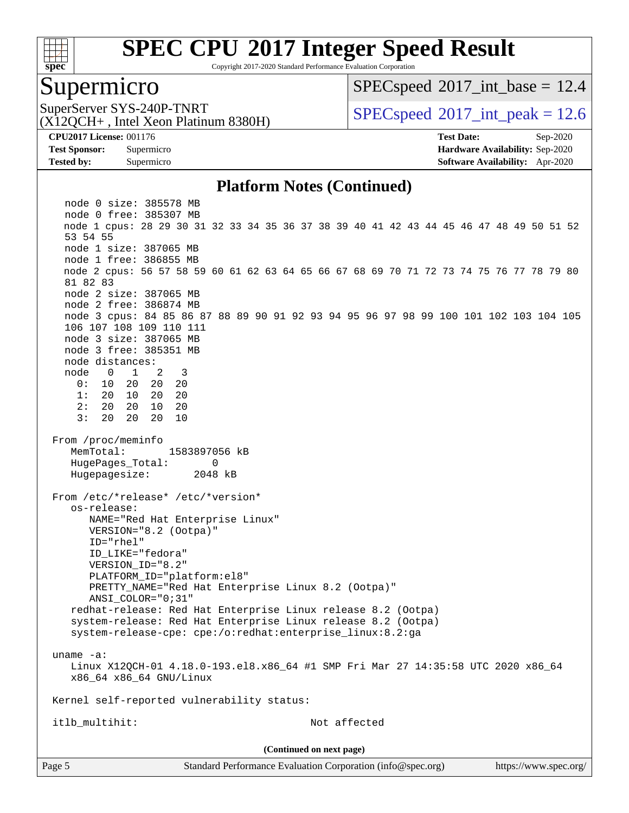

Copyright 2017-2020 Standard Performance Evaluation Corporation

#### Supermicro

 $SPECspeed^{\circ}2017\_int\_base = 12.4$  $SPECspeed^{\circ}2017\_int\_base = 12.4$ 

(X12QCH+ , Intel Xeon Platinum 8380H)

SuperServer SYS-240P-TNRT  $SPI20017$  int peak = 12.6

**[CPU2017 License:](http://www.spec.org/auto/cpu2017/Docs/result-fields.html#CPU2017License)** 001176 **[Test Date:](http://www.spec.org/auto/cpu2017/Docs/result-fields.html#TestDate)** Sep-2020 **[Test Sponsor:](http://www.spec.org/auto/cpu2017/Docs/result-fields.html#TestSponsor)** Supermicro **[Hardware Availability:](http://www.spec.org/auto/cpu2017/Docs/result-fields.html#HardwareAvailability)** Sep-2020 **[Tested by:](http://www.spec.org/auto/cpu2017/Docs/result-fields.html#Testedby)** Supermicro **[Software Availability:](http://www.spec.org/auto/cpu2017/Docs/result-fields.html#SoftwareAvailability)** Apr-2020

#### **[Platform Notes \(Continued\)](http://www.spec.org/auto/cpu2017/Docs/result-fields.html#PlatformNotes)**

 node 0 size: 385578 MB node 0 free: 385307 MB node 1 cpus: 28 29 30 31 32 33 34 35 36 37 38 39 40 41 42 43 44 45 46 47 48 49 50 51 52 53 54 55 node 1 size: 387065 MB node 1 free: 386855 MB node 2 cpus: 56 57 58 59 60 61 62 63 64 65 66 67 68 69 70 71 72 73 74 75 76 77 78 79 80 81 82 83 node 2 size: 387065 MB node 2 free: 386874 MB node 3 cpus: 84 85 86 87 88 89 90 91 92 93 94 95 96 97 98 99 100 101 102 103 104 105 106 107 108 109 110 111 node 3 size: 387065 MB node 3 free: 385351 MB node distances: node 0 1 2 3 0: 10 20 20 20 1: 20 10 20 20 2: 20 20 10 20 3: 20 20 20 10 From /proc/meminfo MemTotal: 1583897056 kB HugePages Total: 0 Hugepagesize: 2048 kB From /etc/\*release\* /etc/\*version\* os-release: NAME="Red Hat Enterprise Linux" VERSION="8.2 (Ootpa)" ID="rhel" ID\_LIKE="fedora" VERSION\_ID="8.2" PLATFORM\_ID="platform:el8" PRETTY\_NAME="Red Hat Enterprise Linux 8.2 (Ootpa)" ANSI\_COLOR="0;31" redhat-release: Red Hat Enterprise Linux release 8.2 (Ootpa) system-release: Red Hat Enterprise Linux release 8.2 (Ootpa) system-release-cpe: cpe:/o:redhat:enterprise\_linux:8.2:ga uname -a: Linux X12QCH-01 4.18.0-193.el8.x86\_64 #1 SMP Fri Mar 27 14:35:58 UTC 2020 x86\_64 x86\_64 x86\_64 GNU/Linux Kernel self-reported vulnerability status: itlb\_multihit: Not affected **(Continued on next page)**

Page 5 Standard Performance Evaluation Corporation [\(info@spec.org\)](mailto:info@spec.org) <https://www.spec.org/>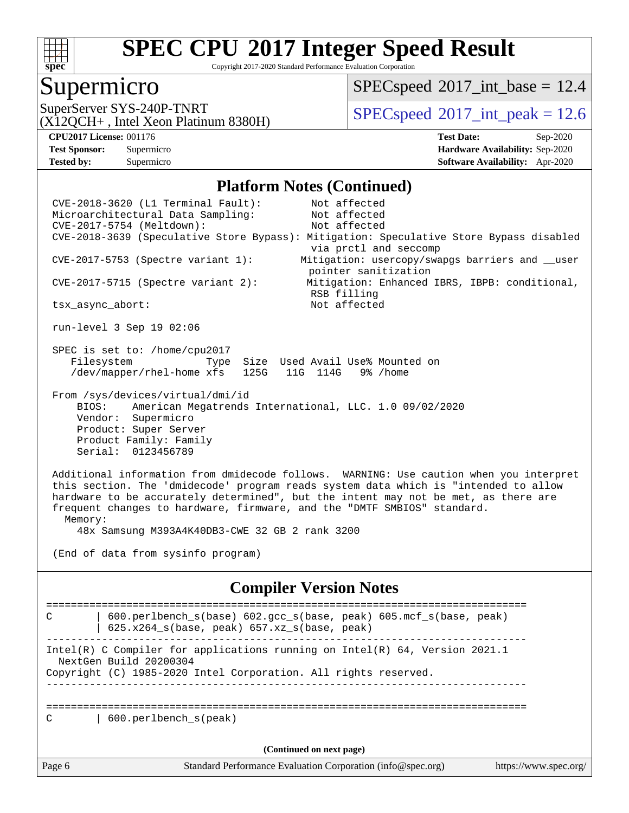

Copyright 2017-2020 Standard Performance Evaluation Corporation

#### Supermicro

 $SPECspeed^{\circ}2017\_int\_base = 12.4$  $SPECspeed^{\circ}2017\_int\_base = 12.4$ 

(X12QCH+ , Intel Xeon Platinum 8380H)

SuperServer SYS-240P-TNRT  $SUS - 240P$ -TNRT  $SPEC speed^{\circ}2017$ \_int\_peak = 12.6

**[Tested by:](http://www.spec.org/auto/cpu2017/Docs/result-fields.html#Testedby)** Supermicro **[Software Availability:](http://www.spec.org/auto/cpu2017/Docs/result-fields.html#SoftwareAvailability)** Apr-2020

**[CPU2017 License:](http://www.spec.org/auto/cpu2017/Docs/result-fields.html#CPU2017License)** 001176 **[Test Date:](http://www.spec.org/auto/cpu2017/Docs/result-fields.html#TestDate)** Sep-2020 **[Test Sponsor:](http://www.spec.org/auto/cpu2017/Docs/result-fields.html#TestSponsor)** Supermicro **[Hardware Availability:](http://www.spec.org/auto/cpu2017/Docs/result-fields.html#HardwareAvailability)** Sep-2020

#### **[Platform Notes \(Continued\)](http://www.spec.org/auto/cpu2017/Docs/result-fields.html#PlatformNotes)**

 CVE-2018-3620 (L1 Terminal Fault): Not affected Microarchitectural Data Sampling: Not affected CVE-2017-5754 (Meltdown): Not affected CVE-2018-3639 (Speculative Store Bypass): Mitigation: Speculative Store Bypass disabled via prctl and seccomp CVE-2017-5753 (Spectre variant 1): Mitigation: usercopy/swapgs barriers and \_\_user pointer sanitization CVE-2017-5715 (Spectre variant 2): Mitigation: Enhanced IBRS, IBPB: conditional, RSB filling tsx\_async\_abort: Not affected run-level 3 Sep 19 02:06 SPEC is set to: /home/cpu2017 Filesystem Type Size Used Avail Use% Mounted on /dev/mapper/rhel-home xfs 125G 11G 114G 9% /home From /sys/devices/virtual/dmi/id BIOS: American Megatrends International, LLC. 1.0 09/02/2020 Vendor: Supermicro Product: Super Server Product Family: Family Serial: 0123456789 Additional information from dmidecode follows. WARNING: Use caution when you interpret this section. The 'dmidecode' program reads system data which is "intended to allow hardware to be accurately determined", but the intent may not be met, as there are frequent changes to hardware, firmware, and the "DMTF SMBIOS" standard. Memory: 48x Samsung M393A4K40DB3-CWE 32 GB 2 rank 3200 (End of data from sysinfo program) **[Compiler Version Notes](http://www.spec.org/auto/cpu2017/Docs/result-fields.html#CompilerVersionNotes)** ============================================================================== C | 600.perlbench\_s(base) 602.gcc\_s(base, peak) 605.mcf\_s(base, peak) | 625.x264\_s(base, peak) 657.xz\_s(base, peak) ------------------------------------------------------------------------------ Intel(R) C Compiler for applications running on Intel(R) 64, Version 2021.1 NextGen Build 20200304 Copyright (C) 1985-2020 Intel Corporation. All rights reserved. ------------------------------------------------------------------------------ ============================================================================== C | 600.perlbench s(peak) **(Continued on next page)**

Page 6 Standard Performance Evaluation Corporation [\(info@spec.org\)](mailto:info@spec.org) <https://www.spec.org/>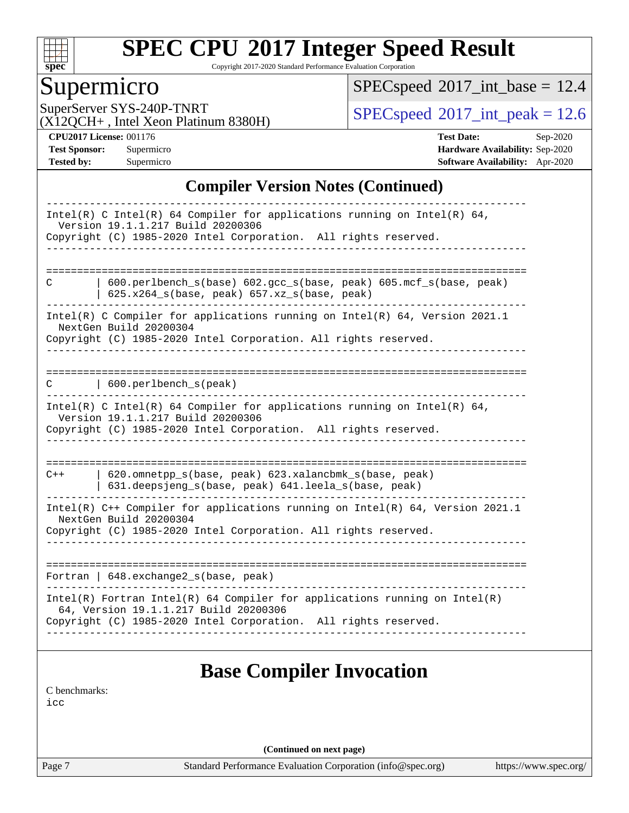

Copyright 2017-2020 Standard Performance Evaluation Corporation

### Supermicro

 $SPEC speed$ <sup>®</sup> $2017$ \_int\_base = 12.4

(X12QCH+ , Intel Xeon Platinum 8380H)

SuperServer SYS-240P-TNRT  $SPI20CH_{\perp}$  Jatel Yoga Platinum 8380H)  $SPECspeed^{\circ}2017\_int\_peak = 12.6$  $SPECspeed^{\circ}2017\_int\_peak = 12.6$ 

**[CPU2017 License:](http://www.spec.org/auto/cpu2017/Docs/result-fields.html#CPU2017License)** 001176 **[Test Date:](http://www.spec.org/auto/cpu2017/Docs/result-fields.html#TestDate)** Sep-2020 **[Test Sponsor:](http://www.spec.org/auto/cpu2017/Docs/result-fields.html#TestSponsor)** Supermicro **[Hardware Availability:](http://www.spec.org/auto/cpu2017/Docs/result-fields.html#HardwareAvailability)** Sep-2020 **[Tested by:](http://www.spec.org/auto/cpu2017/Docs/result-fields.html#Testedby)** Supermicro **[Software Availability:](http://www.spec.org/auto/cpu2017/Docs/result-fields.html#SoftwareAvailability)** Apr-2020

#### **[Compiler Version Notes \(Continued\)](http://www.spec.org/auto/cpu2017/Docs/result-fields.html#CompilerVersionNotes)**

| Intel(R) C Intel(R) 64 Compiler for applications running on Intel(R) 64,<br>Version 19.1.1.217 Build 20200306<br>Copyright (C) 1985-2020 Intel Corporation. All rights reserved.<br>_____________________              |  |
|------------------------------------------------------------------------------------------------------------------------------------------------------------------------------------------------------------------------|--|
|                                                                                                                                                                                                                        |  |
| $600.perlbench_s(base) 602.gcc_s(base, peak) 605.mcf_s(base, peak)$<br>C<br>625.x264_s(base, peak) 657.xz_s(base, peak)                                                                                                |  |
| Intel(R) C Compiler for applications running on Intel(R) 64, Version 2021.1<br>NextGen Build 20200304<br>Copyright (C) 1985-2020 Intel Corporation. All rights reserved.                                               |  |
| $\vert$ 600.perlbench_s(peak)<br>C                                                                                                                                                                                     |  |
| Intel(R) C Intel(R) 64 Compiler for applications running on Intel(R) 64,<br>Version 19.1.1.217 Build 20200306<br>Copyright (C) 1985-2020 Intel Corporation. All rights reserved.                                       |  |
|                                                                                                                                                                                                                        |  |
| 620.omnetpp_s(base, peak) 623.xalancbmk_s(base, peak)<br>$C++$<br>631.deepsjeng_s(base, peak) 641.leela_s(base, peak)                                                                                                  |  |
| Intel(R) C++ Compiler for applications running on Intel(R) 64, Version 2021.1<br>NextGen Build 20200304<br>Copyright (C) 1985-2020 Intel Corporation. All rights reserved.                                             |  |
| Fortran   648.exchange2 s(base, peak)                                                                                                                                                                                  |  |
| --------------------------<br>$Intel(R)$ Fortran Intel(R) 64 Compiler for applications running on Intel(R)<br>64, Version 19.1.1.217 Build 20200306<br>Copyright (C) 1985-2020 Intel Corporation. All rights reserved. |  |
| <b>Base Compiler Invocation</b><br>C benchmarks:<br>icc                                                                                                                                                                |  |

**(Continued on next page)**

Page 7 Standard Performance Evaluation Corporation [\(info@spec.org\)](mailto:info@spec.org) <https://www.spec.org/>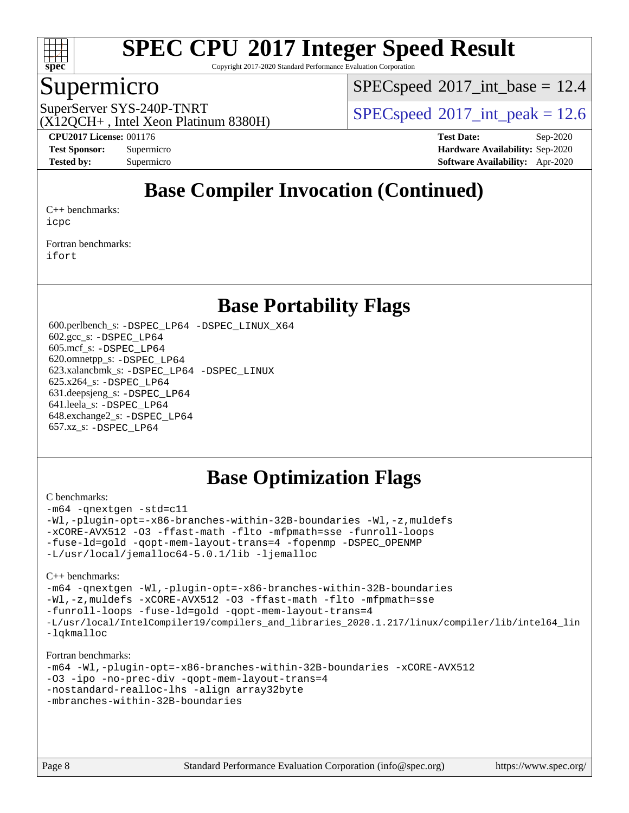

Copyright 2017-2020 Standard Performance Evaluation Corporation

#### Supermicro

 $SPECspeed^{\circ}2017\_int\_base = 12.4$  $SPECspeed^{\circ}2017\_int\_base = 12.4$ 

(X12QCH+ , Intel Xeon Platinum 8380H)

SuperServer SYS-240P-TNRT  $SPI20017$  int peak = 12.6

**[CPU2017 License:](http://www.spec.org/auto/cpu2017/Docs/result-fields.html#CPU2017License)** 001176 **[Test Date:](http://www.spec.org/auto/cpu2017/Docs/result-fields.html#TestDate)** Sep-2020 **[Test Sponsor:](http://www.spec.org/auto/cpu2017/Docs/result-fields.html#TestSponsor)** Supermicro **[Hardware Availability:](http://www.spec.org/auto/cpu2017/Docs/result-fields.html#HardwareAvailability)** Sep-2020 **[Tested by:](http://www.spec.org/auto/cpu2017/Docs/result-fields.html#Testedby)** Supermicro **[Software Availability:](http://www.spec.org/auto/cpu2017/Docs/result-fields.html#SoftwareAvailability)** Apr-2020

### **[Base Compiler Invocation \(Continued\)](http://www.spec.org/auto/cpu2017/Docs/result-fields.html#BaseCompilerInvocation)**

[C++ benchmarks:](http://www.spec.org/auto/cpu2017/Docs/result-fields.html#CXXbenchmarks) [icpc](http://www.spec.org/cpu2017/results/res2020q4/cpu2017-20200929-24136.flags.html#user_CXXbase_intel_icpc_c510b6838c7f56d33e37e94d029a35b4a7bccf4766a728ee175e80a419847e808290a9b78be685c44ab727ea267ec2f070ec5dc83b407c0218cded6866a35d07)

[Fortran benchmarks](http://www.spec.org/auto/cpu2017/Docs/result-fields.html#Fortranbenchmarks): [ifort](http://www.spec.org/cpu2017/results/res2020q4/cpu2017-20200929-24136.flags.html#user_FCbase_intel_ifort_8111460550e3ca792625aed983ce982f94888b8b503583aa7ba2b8303487b4d8a21a13e7191a45c5fd58ff318f48f9492884d4413fa793fd88dd292cad7027ca)

#### **[Base Portability Flags](http://www.spec.org/auto/cpu2017/Docs/result-fields.html#BasePortabilityFlags)**

 600.perlbench\_s: [-DSPEC\\_LP64](http://www.spec.org/cpu2017/results/res2020q4/cpu2017-20200929-24136.flags.html#b600.perlbench_s_basePORTABILITY_DSPEC_LP64) [-DSPEC\\_LINUX\\_X64](http://www.spec.org/cpu2017/results/res2020q4/cpu2017-20200929-24136.flags.html#b600.perlbench_s_baseCPORTABILITY_DSPEC_LINUX_X64) 602.gcc\_s: [-DSPEC\\_LP64](http://www.spec.org/cpu2017/results/res2020q4/cpu2017-20200929-24136.flags.html#suite_basePORTABILITY602_gcc_s_DSPEC_LP64) 605.mcf\_s: [-DSPEC\\_LP64](http://www.spec.org/cpu2017/results/res2020q4/cpu2017-20200929-24136.flags.html#suite_basePORTABILITY605_mcf_s_DSPEC_LP64) 620.omnetpp\_s: [-DSPEC\\_LP64](http://www.spec.org/cpu2017/results/res2020q4/cpu2017-20200929-24136.flags.html#suite_basePORTABILITY620_omnetpp_s_DSPEC_LP64) 623.xalancbmk\_s: [-DSPEC\\_LP64](http://www.spec.org/cpu2017/results/res2020q4/cpu2017-20200929-24136.flags.html#suite_basePORTABILITY623_xalancbmk_s_DSPEC_LP64) [-DSPEC\\_LINUX](http://www.spec.org/cpu2017/results/res2020q4/cpu2017-20200929-24136.flags.html#b623.xalancbmk_s_baseCXXPORTABILITY_DSPEC_LINUX) 625.x264\_s: [-DSPEC\\_LP64](http://www.spec.org/cpu2017/results/res2020q4/cpu2017-20200929-24136.flags.html#suite_basePORTABILITY625_x264_s_DSPEC_LP64) 631.deepsjeng\_s: [-DSPEC\\_LP64](http://www.spec.org/cpu2017/results/res2020q4/cpu2017-20200929-24136.flags.html#suite_basePORTABILITY631_deepsjeng_s_DSPEC_LP64) 641.leela\_s: [-DSPEC\\_LP64](http://www.spec.org/cpu2017/results/res2020q4/cpu2017-20200929-24136.flags.html#suite_basePORTABILITY641_leela_s_DSPEC_LP64) 648.exchange2\_s: [-DSPEC\\_LP64](http://www.spec.org/cpu2017/results/res2020q4/cpu2017-20200929-24136.flags.html#suite_basePORTABILITY648_exchange2_s_DSPEC_LP64) 657.xz\_s: [-DSPEC\\_LP64](http://www.spec.org/cpu2017/results/res2020q4/cpu2017-20200929-24136.flags.html#suite_basePORTABILITY657_xz_s_DSPEC_LP64)

### **[Base Optimization Flags](http://www.spec.org/auto/cpu2017/Docs/result-fields.html#BaseOptimizationFlags)**

#### [C benchmarks](http://www.spec.org/auto/cpu2017/Docs/result-fields.html#Cbenchmarks):

[-m64](http://www.spec.org/cpu2017/results/res2020q4/cpu2017-20200929-24136.flags.html#user_CCbase_m64-icc) [-qnextgen](http://www.spec.org/cpu2017/results/res2020q4/cpu2017-20200929-24136.flags.html#user_CCbase_f-qnextgen) [-std=c11](http://www.spec.org/cpu2017/results/res2020q4/cpu2017-20200929-24136.flags.html#user_CCbase_std-icc-std_0e1c27790398a4642dfca32ffe6c27b5796f9c2d2676156f2e42c9c44eaad0c049b1cdb667a270c34d979996257aeb8fc440bfb01818dbc9357bd9d174cb8524) [-Wl,-plugin-opt=-x86-branches-within-32B-boundaries](http://www.spec.org/cpu2017/results/res2020q4/cpu2017-20200929-24136.flags.html#user_CCbase_f-x86-branches-within-32B-boundaries_0098b4e4317ae60947b7b728078a624952a08ac37a3c797dfb4ffeb399e0c61a9dd0f2f44ce917e9361fb9076ccb15e7824594512dd315205382d84209e912f3) [-Wl,-z,muldefs](http://www.spec.org/cpu2017/results/res2020q4/cpu2017-20200929-24136.flags.html#user_CCbase_link_force_multiple1_b4cbdb97b34bdee9ceefcfe54f4c8ea74255f0b02a4b23e853cdb0e18eb4525ac79b5a88067c842dd0ee6996c24547a27a4b99331201badda8798ef8a743f577) [-xCORE-AVX512](http://www.spec.org/cpu2017/results/res2020q4/cpu2017-20200929-24136.flags.html#user_CCbase_f-xCORE-AVX512) [-O3](http://www.spec.org/cpu2017/results/res2020q4/cpu2017-20200929-24136.flags.html#user_CCbase_f-O3) [-ffast-math](http://www.spec.org/cpu2017/results/res2020q4/cpu2017-20200929-24136.flags.html#user_CCbase_f-ffast-math) [-flto](http://www.spec.org/cpu2017/results/res2020q4/cpu2017-20200929-24136.flags.html#user_CCbase_f-flto) [-mfpmath=sse](http://www.spec.org/cpu2017/results/res2020q4/cpu2017-20200929-24136.flags.html#user_CCbase_f-mfpmath_70eb8fac26bde974f8ab713bc9086c5621c0b8d2f6c86f38af0bd7062540daf19db5f3a066d8c6684be05d84c9b6322eb3b5be6619d967835195b93d6c02afa1) [-funroll-loops](http://www.spec.org/cpu2017/results/res2020q4/cpu2017-20200929-24136.flags.html#user_CCbase_f-funroll-loops) [-fuse-ld=gold](http://www.spec.org/cpu2017/results/res2020q4/cpu2017-20200929-24136.flags.html#user_CCbase_f-fuse-ld_920b3586e2b8c6e0748b9c84fa9b744736ba725a32cab14ad8f3d4ad28eecb2f59d1144823d2e17006539a88734fe1fc08fc3035f7676166309105a78aaabc32) [-qopt-mem-layout-trans=4](http://www.spec.org/cpu2017/results/res2020q4/cpu2017-20200929-24136.flags.html#user_CCbase_f-qopt-mem-layout-trans_fa39e755916c150a61361b7846f310bcdf6f04e385ef281cadf3647acec3f0ae266d1a1d22d972a7087a248fd4e6ca390a3634700869573d231a252c784941a8) [-fopenmp](http://www.spec.org/cpu2017/results/res2020q4/cpu2017-20200929-24136.flags.html#user_CCbase_fopenmp_5aa2e47ce4f2ef030ba5d12d5a7a9c4e57167333d78243fcadb80b48d5abb78ff19333f8478e0b2a41e63049eb285965c145ccab7b93db7d0c4d59e4dc6f5591) [-DSPEC\\_OPENMP](http://www.spec.org/cpu2017/results/res2020q4/cpu2017-20200929-24136.flags.html#suite_CCbase_DSPEC_OPENMP) [-L/usr/local/jemalloc64-5.0.1/lib](http://www.spec.org/cpu2017/results/res2020q4/cpu2017-20200929-24136.flags.html#user_CCbase_jemalloc_link_path64_1_cc289568b1a6c0fd3b62c91b824c27fcb5af5e8098e6ad028160d21144ef1b8aef3170d2acf0bee98a8da324cfe4f67d0a3d0c4cc4673d993d694dc2a0df248b) [-ljemalloc](http://www.spec.org/cpu2017/results/res2020q4/cpu2017-20200929-24136.flags.html#user_CCbase_jemalloc_link_lib_d1249b907c500fa1c0672f44f562e3d0f79738ae9e3c4a9c376d49f265a04b9c99b167ecedbf6711b3085be911c67ff61f150a17b3472be731631ba4d0471706)

#### [C++ benchmarks:](http://www.spec.org/auto/cpu2017/Docs/result-fields.html#CXXbenchmarks)

```
-m64 -qnextgen -Wl,-plugin-opt=-x86-branches-within-32B-boundaries
-Wl,-z,muldefs -xCORE-AVX512 -O3 -ffast-math -flto -mfpmath=sse
-funroll-loops -fuse-ld=gold -qopt-mem-layout-trans=4
-L/usr/local/IntelCompiler19/compilers_and_libraries_2020.1.217/linux/compiler/lib/intel64_lin
-lqkmalloc
```
#### [Fortran benchmarks:](http://www.spec.org/auto/cpu2017/Docs/result-fields.html#Fortranbenchmarks)

```
-m64 -Wl,-plugin-opt=-x86-branches-within-32B-boundaries -xCORE-AVX512
-O3 -ipo -no-prec-div -qopt-mem-layout-trans=4
-nostandard-realloc-lhs -align array32byte
-mbranches-within-32B-boundaries
```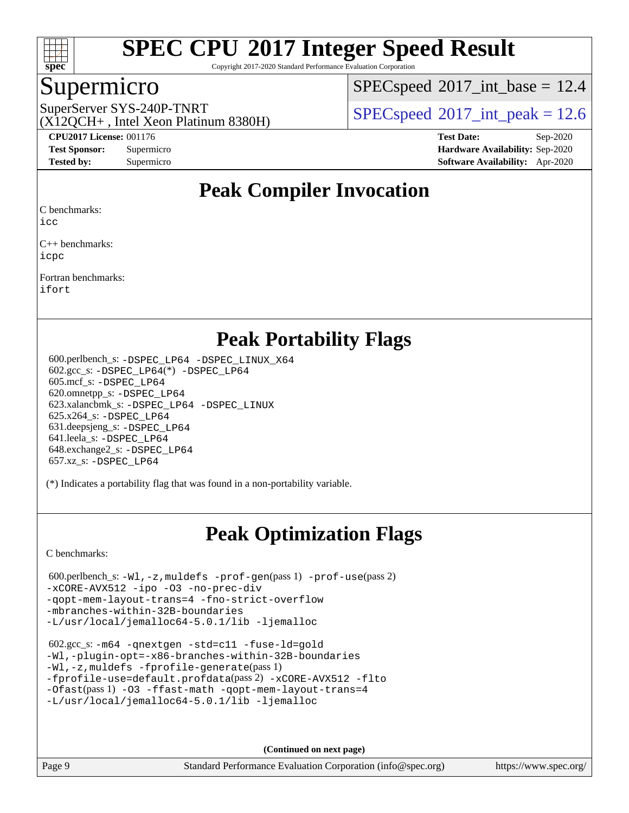

Copyright 2017-2020 Standard Performance Evaluation Corporation

#### Supermicro

 $SPECspeed^{\circ}2017\_int\_base = 12.4$  $SPECspeed^{\circ}2017\_int\_base = 12.4$ 

(X12QCH+ , Intel Xeon Platinum 8380H)

SuperServer SYS-240P-TNRT  $SUS - 240P$ -TNRT  $SPEC speed^{\circ}2017$  int peak = 12.6

**[CPU2017 License:](http://www.spec.org/auto/cpu2017/Docs/result-fields.html#CPU2017License)** 001176 **[Test Date:](http://www.spec.org/auto/cpu2017/Docs/result-fields.html#TestDate)** Sep-2020 **[Test Sponsor:](http://www.spec.org/auto/cpu2017/Docs/result-fields.html#TestSponsor)** Supermicro **[Hardware Availability:](http://www.spec.org/auto/cpu2017/Docs/result-fields.html#HardwareAvailability)** Sep-2020 **[Tested by:](http://www.spec.org/auto/cpu2017/Docs/result-fields.html#Testedby)** Supermicro **[Software Availability:](http://www.spec.org/auto/cpu2017/Docs/result-fields.html#SoftwareAvailability)** Apr-2020

### **[Peak Compiler Invocation](http://www.spec.org/auto/cpu2017/Docs/result-fields.html#PeakCompilerInvocation)**

[C benchmarks](http://www.spec.org/auto/cpu2017/Docs/result-fields.html#Cbenchmarks):

[icc](http://www.spec.org/cpu2017/results/res2020q4/cpu2017-20200929-24136.flags.html#user_CCpeak_intel_icc_66fc1ee009f7361af1fbd72ca7dcefbb700085f36577c54f309893dd4ec40d12360134090235512931783d35fd58c0460139e722d5067c5574d8eaf2b3e37e92)

[C++ benchmarks](http://www.spec.org/auto/cpu2017/Docs/result-fields.html#CXXbenchmarks): [icpc](http://www.spec.org/cpu2017/results/res2020q4/cpu2017-20200929-24136.flags.html#user_CXXpeak_intel_icpc_c510b6838c7f56d33e37e94d029a35b4a7bccf4766a728ee175e80a419847e808290a9b78be685c44ab727ea267ec2f070ec5dc83b407c0218cded6866a35d07)

[Fortran benchmarks:](http://www.spec.org/auto/cpu2017/Docs/result-fields.html#Fortranbenchmarks) [ifort](http://www.spec.org/cpu2017/results/res2020q4/cpu2017-20200929-24136.flags.html#user_FCpeak_intel_ifort_8111460550e3ca792625aed983ce982f94888b8b503583aa7ba2b8303487b4d8a21a13e7191a45c5fd58ff318f48f9492884d4413fa793fd88dd292cad7027ca)

### **[Peak Portability Flags](http://www.spec.org/auto/cpu2017/Docs/result-fields.html#PeakPortabilityFlags)**

 600.perlbench\_s: [-DSPEC\\_LP64](http://www.spec.org/cpu2017/results/res2020q4/cpu2017-20200929-24136.flags.html#b600.perlbench_s_peakPORTABILITY_DSPEC_LP64) [-DSPEC\\_LINUX\\_X64](http://www.spec.org/cpu2017/results/res2020q4/cpu2017-20200929-24136.flags.html#b600.perlbench_s_peakCPORTABILITY_DSPEC_LINUX_X64) 602.gcc\_s: [-DSPEC\\_LP64](http://www.spec.org/cpu2017/results/res2020q4/cpu2017-20200929-24136.flags.html#suite_peakCCLD602_gcc_s_DSPEC_LP64)(\*) [-DSPEC\\_LP64](http://www.spec.org/cpu2017/results/res2020q4/cpu2017-20200929-24136.flags.html#suite_peakPORTABILITY602_gcc_s_DSPEC_LP64) 605.mcf\_s: [-DSPEC\\_LP64](http://www.spec.org/cpu2017/results/res2020q4/cpu2017-20200929-24136.flags.html#suite_peakPORTABILITY605_mcf_s_DSPEC_LP64) 620.omnetpp\_s: [-DSPEC\\_LP64](http://www.spec.org/cpu2017/results/res2020q4/cpu2017-20200929-24136.flags.html#suite_peakPORTABILITY620_omnetpp_s_DSPEC_LP64) 623.xalancbmk\_s: [-DSPEC\\_LP64](http://www.spec.org/cpu2017/results/res2020q4/cpu2017-20200929-24136.flags.html#suite_peakPORTABILITY623_xalancbmk_s_DSPEC_LP64) [-DSPEC\\_LINUX](http://www.spec.org/cpu2017/results/res2020q4/cpu2017-20200929-24136.flags.html#b623.xalancbmk_s_peakCXXPORTABILITY_DSPEC_LINUX) 625.x264\_s: [-DSPEC\\_LP64](http://www.spec.org/cpu2017/results/res2020q4/cpu2017-20200929-24136.flags.html#suite_peakPORTABILITY625_x264_s_DSPEC_LP64) 631.deepsjeng\_s: [-DSPEC\\_LP64](http://www.spec.org/cpu2017/results/res2020q4/cpu2017-20200929-24136.flags.html#suite_peakPORTABILITY631_deepsjeng_s_DSPEC_LP64) 641.leela\_s: [-DSPEC\\_LP64](http://www.spec.org/cpu2017/results/res2020q4/cpu2017-20200929-24136.flags.html#suite_peakPORTABILITY641_leela_s_DSPEC_LP64) 648.exchange2\_s: [-DSPEC\\_LP64](http://www.spec.org/cpu2017/results/res2020q4/cpu2017-20200929-24136.flags.html#suite_peakPORTABILITY648_exchange2_s_DSPEC_LP64) 657.xz\_s: [-DSPEC\\_LP64](http://www.spec.org/cpu2017/results/res2020q4/cpu2017-20200929-24136.flags.html#suite_peakPORTABILITY657_xz_s_DSPEC_LP64)

(\*) Indicates a portability flag that was found in a non-portability variable.

## **[Peak Optimization Flags](http://www.spec.org/auto/cpu2017/Docs/result-fields.html#PeakOptimizationFlags)**

[C benchmarks](http://www.spec.org/auto/cpu2017/Docs/result-fields.html#Cbenchmarks):

```
 600.perlbench_s: -Wl,-z,muldefs -prof-gen(pass 1) -prof-use(pass 2)
-xCORE-AVX512 -ipo -O3 -no-prec-div
-qopt-mem-layout-trans=4 -fno-strict-overflow
-mbranches-within-32B-boundaries
-L/usr/local/jemalloc64-5.0.1/lib -ljemalloc
```

```
 602.gcc_s: -m64 -qnextgen -std=c11 -fuse-ld=gold
-Wl,-plugin-opt=-x86-branches-within-32B-boundaries
-Wl,-z,muldefs -fprofile-generate(pass 1)
-fprofile-use=default.profdata(pass 2) -xCORE-AVX512 -flto
-Ofast(pass 1) -O3 -ffast-math -qopt-mem-layout-trans=4
-L/usr/local/jemalloc64-5.0.1/lib -ljemalloc
```
**(Continued on next page)**